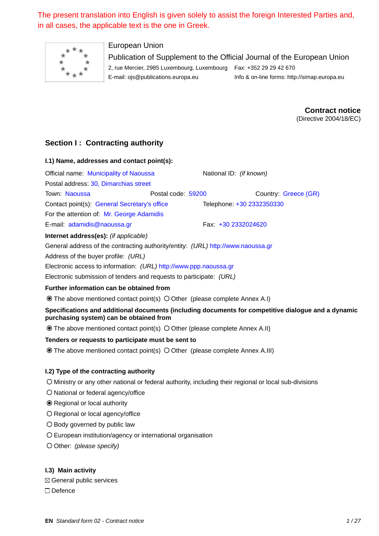The present translation into English is given solely to assist the foreign Interested Parties and, in all cases, the applicable text is the one in Greek.



# European Union

Publication of Supplement to the Official Journal of the European Union 2, rue Mercier, 2985 Luxembourg, Luxembourg Fax: +352 29 29 42 670 E-mail: [ojs@publications.europa.eu](mailto:ojs@publications.europa.eu) Info & on-line forms:<http://simap.europa.eu>

> **Contract notice** (Directive 2004/18/EC)

# **Section I: Contracting authority**

| I.1) Name, addresses and contact point(s):   |                    |                                |                      |
|----------------------------------------------|--------------------|--------------------------------|----------------------|
| Official name: Municipality of Naoussa       |                    | National ID: <i>(if known)</i> |                      |
| Postal address: 30, Dimarchias street        |                    |                                |                      |
| Town: Naoussa                                | Postal code: 59200 |                                | Country: Greece (GR) |
| Contact point(s): General Secretary's office |                    | Telephone: +30 2332350330      |                      |
| For the attention of: Mr. George Adamidis    |                    |                                |                      |
| E-mail: adamidis@naoussa.gr                  |                    | Fax +30 2332024620             |                      |
| <b>Internet address(es):</b> (if applicable) |                    |                                |                      |

General address of the contracting authority/entity: *(URL)* http://www.naoussa.gr

Address of the buyer profile: *(URL)* \_\_\_\_\_

Electronic access to information: *(URL)* http://www.ppp.naoussa.gr

Electronic submission of tenders and requests to participate: *(URL)* \_\_\_\_\_

## **Further information can be obtained from**

 $\odot$  The above mentioned contact point(s)  $\odot$  Other (please complete Annex A.I)

# **Specifications and additional documents (including documents for competitive dialogue and a dynamic purchasing system) can be obtained from**

 $\odot$  The above mentioned contact point(s)  $\odot$  Other (please complete Annex A.II)

## **Tenders or requests to participate must be sent to**

 $\odot$  The above mentioned contact point(s)  $\odot$  Other (please complete Annex A.III)

## **I.2) Type of the contracting authority**

Ministry or any other national or federal authority, including their regional or local sub-divisions

O National or federal agency/office

Regional or local authority

O Regional or local agency/office

O Body governed by public law

European institution/agency or international organisation

O Other: *(please specify)* 

**I.3) Main activity**

 $\boxtimes$  General public services □ Defence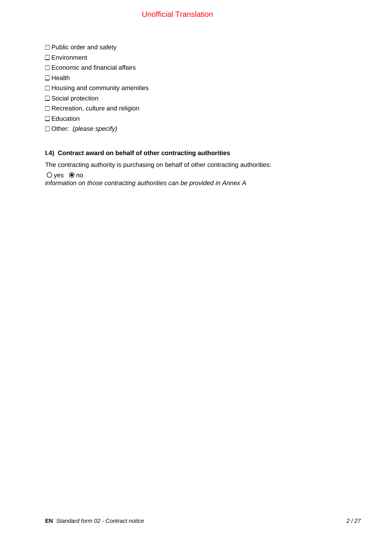- $\Box$  Public order and safety
- □ Environment
- $\Box$  Economic and financial affairs
- $\Box$  Health
- $\Box$  Housing and community amenities
- $\square$  Social protection
- $\Box$  Recreation, culture and religion
- □ Education
- Other: *(please specify)*

# **I.4) Contract award on behalf of other contracting authorities**

The contracting authority is purchasing on behalf of other contracting authorities:

 $O$  yes  $\odot$  no

*information on those contracting authorities can be provided in Annex A*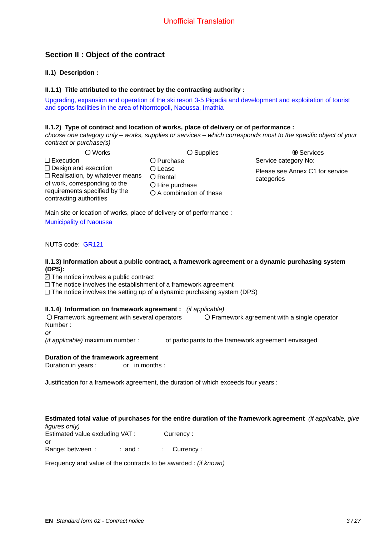# **Section II : Object of the contract**

**II.1) Description :**

## **II.1.1) Title attributed to the contract by the contracting authority :**

Upgrading, expansion and operation of the ski resort 3-5 Pigadia and development and exploitation of tourist and sports facilities in the area of Ntorntopoli, Naoussa, Imathia

## **II.1.2) Type of contract and location of works, place of delivery or of performance :**

*choose one category only – works, supplies or services – which corresponds most to the specific object of your contract or purchase(s)*

| O Works                               |   |
|---------------------------------------|---|
| $\Box$ Execution                      |   |
| $\Box$ Design and execution           | Т |
| $\Box$ Realisation, by whatever means | Γ |
| of work, corresponding to the         | Γ |
| requirements specified by the         | Π |
| contracting authorities               |   |
|                                       |   |

Purchase Lease Rental Hire purchase A combination of these

O Supplies  $\bullet$  Services Service category No: Please see Annex C1 for service categories

Main site or location of works, place of delivery or of performance :

Municipality of Naoussa

NUTS code: GR121

## **II.1.3) Information about a public contract, a framework agreement or a dynamic purchasing system (DPS):**

 $\boxtimes$  The notice involves a public contract

 $\Box$  The notice involves the establishment of a framework agreement

 $\Box$  The notice involves the setting up of a dynamic purchasing system (DPS)

## **II.1.4) Information on framework agreement :** *(if applicable)*

Framework agreement with several operators Framework agreement with a single operator Number : \_\_\_\_\_

*or*

*(if applicable)* maximum number : <br>of participants to the framework agreement envisaged

## **Duration of the framework agreement**

Duration in years : \_\_\_\_\_\_ or \_in months :

Justification for a framework agreement, the duration of which exceeds four years :

## **Estimated total value of purchases for the entire duration of the framework agreement** *(if applicable, give figures only)*

Estimated value excluding VAT : Currency : or Range: between :  $\therefore$  and :  $\therefore$  Currency :

Frequency and value of the contracts to be awarded : *(if known)*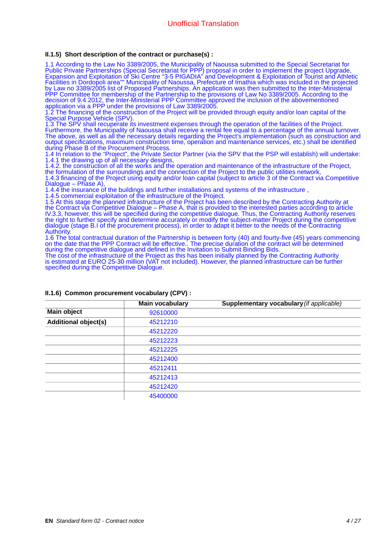## **II.1.5) Short description of the contract or purchase(s) :**

1.1 According to the Law Νο 3389/2005, the Municipality of Naoussa submitted to the Special Secretariat for Public Private Partnerships (Special Secretariat for PPP) proposal in order to implement the project Upgrade, Expansion and Exploitation of Ski Centre "3-5 PIGADIA" and Development & Exploitation of Tourist and Athletic Facilities in Dordopoli area"" Municipality of Naoussa, Prefecture of Imathia which was included in the projected by Law no 3389/2005 list of Proposed Partnerships. An application was then submitted to the Inter-Ministerial PPP Committee for membership of the Partnership to the provisions of Law No 3389/2005. According to the decision of 9.4.2012, the Inter-Ministerial PPP Committee approved the inclusion of the abovementioned application via a PPP under the provisions of Law 3389/2005.

1.2 The financing of the construction of the Project will be provided through equity and/or loan capital of the Special Purpose Vehicle (SPV).

1.3 The SPV shall recuperate its investment expenses through the operation of the facilities of the Project. Furthermore, the Municipality of Naoussa shall receive a rental fee equal to a percentage of the annual turnover. The above, as well as all the necessary details regarding the Project's implementation (such as construction and output specifications, maximum construction time, operation and maintenance services, etc.) shall be identified during Phase B of the Procurement Process.

1.4 In relation to the "Project", the Private Sector Partner (via the SPV that the PSP will establish) will undertake: 1.4.1 the drawing up of all necessary designs,

1.4.2. the construction of all the works and the operation and maintenance of the infrastructure of the Project, the formulation of the surroundings and the connection of the Project to the public utilities network, 1.4.3 financing of the Project using equity and/or loan capital (subject to article 3 of the Contract via Competitive Dialogue – Phase A),

1.4.4 the insurance of the buildings and further installations and systems of the infrastructure ,

1.4.5 commercial exploitation of the infrastructure of the Project.

1.5 At this stage the planned infrastructure of the Project has been described by the Contracting Authority at the Contract via Competitive Dialogue – Phase A, that is provided to the interested parties according to article IV.3.3, however, this will be specified during the competitive dialogue. Thus, the Contracting Authority reserves the right to further specify and determine accurately or modify the subject-matter Project during the competitive dialogue (stage B.I of the procurement process), in order to adapt it better to the needs of the Contracting **Authority** 

1.6 The total contractual duration of the Partnership is between forty (40) and fourty-five (45) years commencing on the date that the PPP Contract will be effective.. The precise duration of the contract will be determined during the competitive dialogue and defined in the Invitation to Submit Binding Bids.

The cost of the infrastructure of the Project as this has been initially planned by the Contracting Authority is estimated at EURO 25-30 million (VAT not included). However, the planned infrastructure can be further specified during the Competitive Dialogue.

|                             | <b>Main vocabulary</b> | Supplementary vocabulary (if applicable) |
|-----------------------------|------------------------|------------------------------------------|
| <b>Main object</b>          | 92610000               |                                          |
| <b>Additional object(s)</b> | 45212210               |                                          |
|                             | 45212220               |                                          |
|                             | 45212223               |                                          |
|                             | 45212225               |                                          |
|                             | 45212400               |                                          |
|                             | 45212411               |                                          |
|                             | 45212413               |                                          |
|                             | 45212420               |                                          |
|                             | 45400000               |                                          |

## **II.1.6) Common procurement vocabulary (CPV) :**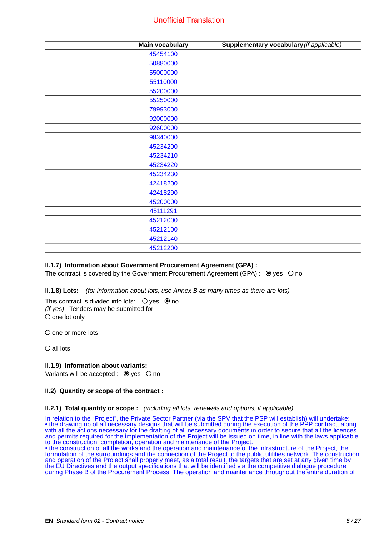| <b>Main vocabulary</b> | Supplementary vocabulary (if applicable) |
|------------------------|------------------------------------------|
| 45454100               |                                          |
| 50880000               |                                          |
| 55000000               |                                          |
| 55110000               |                                          |
| 55200000               |                                          |
| 55250000               |                                          |
| 79993000               |                                          |
| 92000000               |                                          |
| 92600000               |                                          |
| 98340000               |                                          |
| 45234200               |                                          |
| 45234210               |                                          |
| 45234220               |                                          |
| 45234230               |                                          |
| 42418200               |                                          |
| 42418290               |                                          |
| 45200000               |                                          |
| 45111291               |                                          |
| 45212000               |                                          |
| 45212100               |                                          |
| 45212140               |                                          |
| 45212200               |                                          |

## **II.1.7) Information about Government Procurement Agreement (GPA) :**

The contract is covered by the Government Procurement Agreement (GPA) :  $\bullet$  yes  $\circ$  no

**II.1.8) Lots:** *(for information about lots, use Annex B as many times as there are lots)*

This contract is divided into lots:  $\bigcirc$  yes  $\circledast$  no *(if yes)* Tenders may be submitted for  $O$  one lot only

 $O$  one or more lots

all lots

#### **II.1.9) Information about variants:**

Variants will be accepted :  $\bullet$  yes  $\circ$  no

#### **II.2) Quantity or scope of the contract :**

#### **II.2.1) Total quantity or scope :** *(including all lots, renewals and options, if applicable)*

In relation to the "Project", the Private Sector Partner (via the SPV that the PSP will establish) will undertake: • the drawing up of all necessary designs that will be submitted during the execution of the PPP contract, along with all the actions necessary for the drafting of all necessary documents in order to secure that all the licences and permits required for the implementation of the Project will be issued on time, in line with the laws applicable to the construction, completion, operation and maintenance of the Project.

• the construction of all the works and the operation and maintenance of the infrastructure of the Project, the formulation of the surroundings and the connection of the Project to the public utilities network. The construction and operation of the Project shall properly meet, as a total result, the targets that are set at any given time by the EU Directives and the output specifications that will be identified via the competitive dialogue procedure during Phase B of the Procurement Process. The operation and maintenance throughout the entire duration of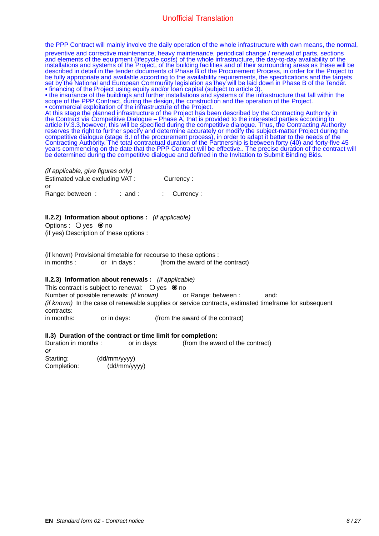the PPP Contract will mainly involve the daily operation of the whole infrastructure with own means, the normal,

preventive and corrective maintenance, heavy maintenance, periodical change / renewal of parts, sections and elements of the equipment (lifecycle costs) of the whole infrastructure, the day-to-day availability of the installations and systems of the Project, of the building facilities and of their surrounding areas as these will be described in detail in the tender documents of Phase B of the Procurement Process, in order for the Project to be fully appropriate and available according to the availability requirements, the specifications and the targets set by the National and European Community legislation as they will be laid down in Phase B of the Tender. • financing of the Project using equity and/or loan capital (subject to article 3).

• the insurance of the buildings and further installations and systems of the infrastructure that fall within the scope of the PPP Contract, during the design, the construction and the operation of the Project. • commercial exploitation of the infrastructure of the Project.

At this stage the planned infrastructure of the Project has been described by the Contracting Authority in the Contract via Competitive Dialogue – Phase A, that is provided to the interested parties according to article IV.3.3,however, this will be specified during the competitive dialogue. Thus, the Contracting Authority reserves the right to further specify and determine accurately or modify the subject-matter Project during the competitive dialogue (stage B.I of the procurement process), in order to adapt it better to the needs of the Contracting Authority. The total contractual duration of the Partnership is between forty (40) and forty-five 45 years commencing on the date that the PPP Contract will be effective.. The precise duration of the contract will be determined during the competitive dialogue and defined in the Invitation to Submit Binding Bids.

*(if applicable, give figures only)* Estimated value excluding VAT : Currency : or Range: between :  $\vdots$  and :  $\vdots$  Currency :

## **II.2.2) Information about options :** *(if applicable)*

Options :  $\bigcirc$  yes  $\bigcirc$  no

(if yes) Description of these options :

(if known) Provisional timetable for recourse to these options : in months : equal or in days :  $\qquad$  (from the award of the contract)

#### **II.2.3) Information about renewals :** *(if applicable)*

This contract is subject to renewal:  $\bigcirc$  yes  $\bigcirc$  no Number of possible renewals: *(if known)* or Range: between : \_\_\_\_\_ and: *(if known)* In the case of renewable supplies or service contracts, estimated timeframe for subsequent contracts:

in months: external or in days: (from the award of the contract)

#### **II.3) Duration of the contract or time limit for completion:**

Duration in months :  $\qquad \qquad$  or in days:  $\qquad \qquad$  (from the award of the contract) *or*

Starting: (dd/mm/yyyy) Completion: \_\_\_\_\_\_ (dd/mm/yyyy)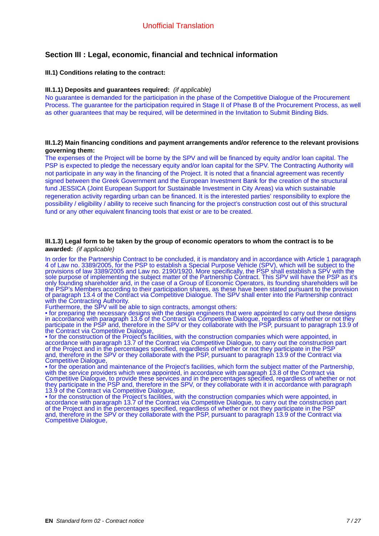# **Section III : Legal, economic, financial and technical information**

## **III.1) Conditions relating to the contract:**

#### **III.1.1) Deposits and guarantees required:** *(if applicable)*

No guarantee is demanded for the participation in the phase of the Competitive Dialogue of the Procurement Process. The guarantee for the participation required in Stage II of Phase B of the Procurement Process, as well as other guarantees that may be required, will be determined in the Invitation to Submit Binding Bids.

#### **III.1.2) Main financing conditions and payment arrangements and/or reference to the relevant provisions governing them:**

The expenses of the Project will be borne by the SPV and will be financed by equity and/or loan capital. The PSP is expected to pledge the necessary equity and/or loan capital for the SPV. The Contracting Authority will not participate in any way in the financing of the Project. It is noted that a financial agreement was recently signed between the Greek Government and the European Investment Bank for the creation of the structural fund JESSICA (Joint European Support for Sustainable Investment in City Areas) via which sustainable regeneration activity regarding urban can be financed. It is the interested parties' responsibility to explore the possibility / eligibility / ability to receive such financing for the project's construction cost out of this structural fund or any other equivalent financing tools that exist or are to be created.

#### **III.1.3) Legal form to be taken by the group of economic operators to whom the contract is to be awarded:** *(if applicable)*

In order for the Partnership Contract to be concluded, it is mandatory and in accordance with Article 1 paragraph 4 of Law no. 3389/2005, for the PSP to establish a Special Purpose Vehicle (SPV), which will be subject to the provisions of law 3389/2005 and Law no. 2190/1920. More specifically, the PSP shall establish a SPV with the sole purpose of implementing the subject matter of the Partnership Contract. This SPV will have the PSP as it's only founding shareholder and, in the case of a Group of Economic Operators, its founding shareholders will be the PSP's Members according to their participation shares, as these have been stated pursuant to the provision of paragraph 13.4 of the Contract via Competitive Dialogue. The SPV shall enter into the Partnership contract with the Contracting Authority.

Furthermore, the SPV will be able to sign contracts, amongst others:

• for preparing the necessary designs with the design engineers that were appointed to carry out these designs in accordance with paragraph 13.6 of the Contract via Competitive Dialogue, regardless of whether or not they participate in the PSP and, therefore in the SPV or they collaborate with the PSP, pursuant to paragraph 13.9 of the Contract via Competitive Dialogue,

• for the construction of the Project's facilities, with the construction companies which were appointed, in accordance with paragraph 13.7 of the Contract via Competitive Dialogue, to carry out the construction part of the Project and in the percentages specified, regardless of whether or not they participate in the PSP and, therefore in the SPV or they collaborate with the PSP, pursuant to paragraph 13.9 of the Contract via Competitive Dialogue,

• for the operation and maintenance of the Project's facilities, which form the subject matter of the Partnership, with the service providers which were appointed, in accordance with paragraph 13.8 of the Contract via Competitive Dialogue, to provide these services and in the percentages specified, regardless of whether or not they participate in the PSP and, therefore in the SPV, or they collaborate with it in accordance with paragraph 13.9 of the Contract via Competitive Dialogue,

• for the construction of the Project's facilities, with the construction companies which were appointed, in accordance with paragraph 13.7 of the Contract via Competitive Dialogue, to carry out the construction part of the Project and in the percentages specified, regardless of whether or not they participate in the PSP and, therefore in the SPV or they collaborate with the PSP, pursuant to paragraph 13.9 of the Contract via Competitive Dialogue,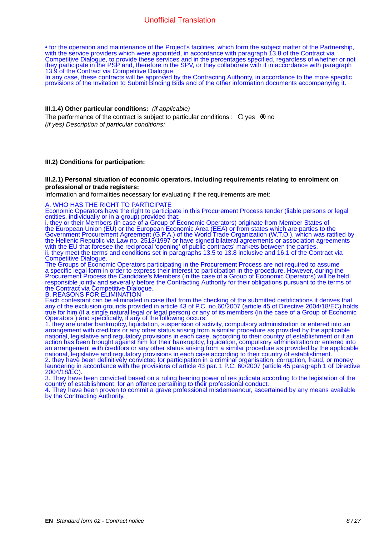• for the operation and maintenance of the Project's facilities, which form the subject matter of the Partnership, with the service providers which were appointed, in accordance with paragraph 13.8 of the Contract via Competitive Dialogue, to provide these services and in the percentages specified, regardless of whether or not they participate in the PSP and, therefore in the SPV, or they collaborate with it in accordance with paragraph 13.9 of the Contract via Competitive Dialogue,

In any case, these contracts will be approved by the Contracting Authority, in accordance to the more specific provisions of the Invitation to Submit Binding Bids and of the other information documents accompanying it.

#### **III.1.4) Other particular conditions:** *(if applicable)*

The performance of the contract is subject to particular conditions :  $\bigcirc$  yes  $\bigcirc$  no *(if yes) Description of particular conditions:*

#### **III.2) Conditions for participation:**

#### **III.2.1) Personal situation of economic operators, including requirements relating to enrolment on professional or trade registers:**

Information and formalities necessary for evaluating if the requirements are met:

#### A. WHO HAS THE RIGHT TO PARTICIPATE

Economic Operators have the right to participate in this Procurement Process tender (liable persons or legal entities, individually or in a group) provided that:

i. they or their Members (in case of a Group of Economic Operators) originate from Member States of the European Union (EU) or the European Economic Area (EEA) or from states which are parties to the Government Procurement Agreement (G.P.A.) of the World Trade Organization (W.T.O.), which was ratified by the Hellenic Republic via Law no. 2513/1997 or have signed bilateral agreements or association agreements with the EU that foresee the reciprocal 'opening' of public contracts' markets between the parties. ii. they meet the terms and conditions set in paragraphs 13.5 to 13.8 inclusive and 16.1 of the Contract via Competitive Dialogue.

The Groups of Economic Operators participating in the Procurement Process are not required to assume a specific legal form in order to express their interest to participation in the procedure. However, during the Procurement Process the Candidate's Members (in the case of a Group of Economic Operators) will be held responsible jointly and severally before the Contracting Authority for their obligations pursuant to the terms of the Contract via Competitive Dialogue.

B. REASONS FOR ELIMINATION

Each contestant can be eliminated in case that from the checking of the submitted certifications it derives that any of the exclusion grounds provided in article 43 of P.C. no.60/2007 (article 45 of Directive 2004/18/EC) holds true for him (if a single natural legal or legal person) or any of its members (in the case of a Group of Economic Operators ) and specifically, if any of the following occurs:

1. they are under bankruptcy, liquidation, suspension of activity, compulsory administration or entered into an arrangement with creditors or any other status arising from a similar procedure as provided by the applicable national, legislative and regulatory provisions in each case, according to their country of establishment or if an action has been brought against him for their bankruptcy, liquidation, compulsory administration or entered into an arrangement with creditors or any other status arising from a similar procedure as provided by the applicable national, legislative and regulatory provisions in each case according to their country of establishment. 2. they have been definitively convicted for participation in a criminal organisation, corruption, fraud, or money laundering in accordance with the provisions of article 43 par. 1 P.C. 60/2007 (article 45 paragraph 1 of Directive 2004/18/EC).

3. They have been convicted based on a ruling bearing power of res judicata according to the legislation of the country of establishment, for an offence pertaining to their professional conduct.

4. They have been proven to commit a grave professional misdemeanour, ascertained by any means available by the Contracting Authority.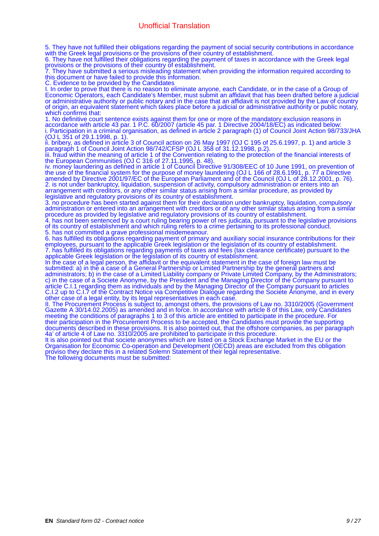5. They have not fulfilled their obligations regarding the payment of social security contributions in accordance with the Greek legal provisions or the provisions of their country of establishment.

6. They have not fulfilled their obligations regarding the payment of taxes in accordance with the Greek legal provisions or the provisions of their country of establishment.

7. They have submitted a serious misleading statement when providing the information required according to this document or have failed to provide this information.

C. Evidence to be provided by the Candidates

I. In order to prove that there is no reason to eliminate anyone, each Candidate, or in the case of a Group of Economic Operators, each Candidate's Member, must submit an affidavit that has been drafted before a judicial or administrative authority or public notary and in the case that an affidavit is not provided by the Law of country of origin, an equivalent statement which takes place before a judicial or administrative authority or public notary, which confirms that:

1. No definitive court sentence exists against them for one or more of the mandatory exclusion reasons in accordance with article 43 par. 1 P.C. 60/2007 (article 45 par. 1 Directive 2004/18/EC) as indicated below: i. Participation in a criminal organisation, as defined in article 2 paragraph (1) of Council Joint Action 98/733/JHA (OJ L 351 of 29.1.1998, p. 1).

ii. bribery, as defined in article 3 of Council action on 26 May 1997 (OJ C 195 of 25.6.1997, p. 1) and article 3 paragraph 1 of Council Joint Action 98/742/CFSP (OJ L 358 of 31.12.1998, p.2).

iii. fraud within the meaning of article 1 of the Convention relating to the protection of the financial interests of the European Communities (OJ C 316 of 27.11.1995, p. 48).

iv. money laundering as defined in article 1 of Council Directive 91/308/EEC of 10 June 1991, on prevention of the use of the financial system for the purpose of money laundering (OJ L 166 of 28.6.1991, p. 77 a Directive amended by Directive 2001/97/EC of the European Parliament and of the Council (OJ L of 28.12.2001, p. 76). 2. is not under bankruptcy, liquidation, suspension of activity, compulsory administration or enters into an arrangement with creditors, or any other similar status arising from a similar procedure, as provided by legislative and regulatory provisions of its country of establishment.

3. no procedure has been started against them for their declaration under bankruptcy, liquidation, compulsory administration or entered into an arrangement with creditors or of any other similar status arising from a similar procedure as provided by legislative and regulatory provisions of its country of establishment.

4. has not been sentenced by a court ruling bearing power of res judicata, pursuant to the legislative provisions of its country of establishment and which ruling refers to a crime pertaining to its professional conduct. 5. has not committed a grave professional misdemeanour.

6. has fulfilled its obligations regarding payment of primary and auxiliary social insurance contributions for their employees, pursuant to the applicable Greek legislation or the legislation of its country of establishment. 7. has fulfilled its obligations regarding payments of taxes and fees (tax clearance certificate) pursuant to the applicable Greek legislation or the legislation of its country of establishment.

In the case of a legal person, the affidavit or the equivalent statement in the case of foreign law must be submitted: a) in the a case of a General Partnership or Limited Partnership by the general partners and administrators; b) in the case of a Limited Liability company or Private Limited Company, by the Administrators; c) in the case of a Societe Anonyme, by the President and the Managing Director of the Company pursuant to article C.I.1 regarding them as individuals and by the Managing Director of the Company pursuant to articles C.I.2 up to C.I.7 of the Contract Notice via Competitive Dialogue regarding the Societe Anonyme, and in every other case of a legal entity, by its legal representatives in each case.

II. The Procurement Process is subject to, amongst others, the provisions of Law no. 3310/2005 (Government Gazette A 30/14.02.2005) as amended and in force. In accordance with article 8 of this Law, only Candidates meeting the conditions of paragraphs 1 to 3 of this article are entitled to participate in the procedure. For their participation in the Procurement Process to be accepted, the Candidates must provide the supporting documents described in these provisions. It is also pointed out, that the offshore companies, as per paragraph 4a' of article 4 of Law no. 3310/2005 are prohibited to participate in this procedure.

It is also pointed out that societe anonymes which are listed on a Stock Exchange Market in the EU or the Organisation for Economic Co-operation and Development (OECD) areas are excluded from this obligation proviso they declare this in a related Solemn Statement of their legal representative. The following documents must be submitted: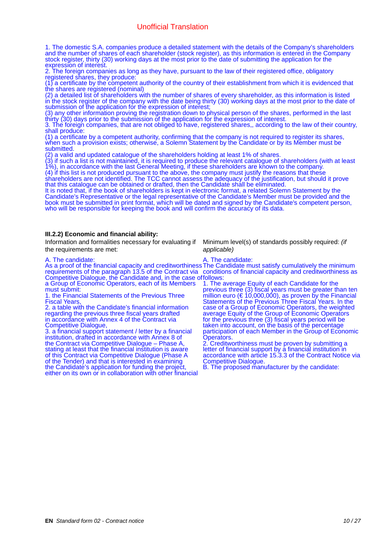1. The domestic S.A. companies produce a detailed statement with the details of the Company's shareholders and the number of shares of each shareholder (stock register), as this information is entered in the Company stock register, thirty (30) working days at the most prior to the date of submitting the application for the expression of interest.

2. The foreign companies as long as they have, pursuant to the law of their registered office, obligatory registered shares, they produce:

(1) a certificate by the competent authority of the country of their establishment from which it is evidenced that the shares are registered (nominal)

(2) a detailed list of shareholders with the number of shares of every shareholder, as this information is listed in the stock register of the company with the date being thirty (30) working days at the most prior to the date of submission of the application for the expression of interest;

(3) any other information proving the registration down to physical person of the shares, performed in the last thirty (30) days prior to the submission of the application for the expression of interest.

3. The foreign companies, that are not obliged to have, registered shares,, according to the law of their country, shall produce:

(1) a certificate by a competent authority, confirming that the company is not required to register its shares, when such a provision exists; otherwise, a Solemn Statement by the Candidate or by its Member must be submitted.

(2) a valid and updated catalogue of the shareholders holding at least 1% of shares.

(3) if such a list is not maintained, it is required to produce the relevant catalogue of shareholders (with at least 1%), in accordance with the last General Meeting, if these shareholders are known to the company.

(4) if this list is not produced pursuant to the above, the company must justify the reasons that these

shareholders are not identified. The TCC cannot assess the adequacy of the justification, but should it prove that this catalogue can be obtained or drafted, then the Candidate shall be eliminated.

It is noted that, if the book of shareholders is kept in electronic format, a related Solemn Statement by the Candidate's Representative or the legal representative of the Candidate's Member must be provided and the book must be submitted in print format, which will be dated and signed by the Candidate's competent person, who will be responsible for keeping the book and will confirm the accuracy of its data.

#### **III.2.2) Economic and financial ability:**

Information and formalities necessary for evaluating if the requirements are met:

#### Minimum level(s) of standards possibly required: *(if applicable)*

#### A. The candidate:

As a proof of the financial capacity and creditworthiness The Candidate must satisfy cumulatively the minimum requirements of the paragraph 13.5 of the Contract via Competitive Dialogue, the Candidate and, in the case of follows: a Group of Economic Operators, each of its Members must submit:

1. the Financial Statements of the Previous Three Fiscal Years,

2. a table with the Candidate's financial information regarding the previous three fiscal years drafted in accordance with Annex 4 of the Contract via Competitive Dialogue,

3. a financial support statement / letter by a financial institution, drafted in accordance with Annex 8 of the Contract via Competitive Dialogue – Phase A, stating at least that the financial institution is aware of this Contract via Competitive Dialogue (Phase A of the Tender) and that is interested in examining the Candidate's application for funding the project, either on its own or in collaboration with other financial A. The candidate:

conditions of financial capacity and creditworthiness as 1. The average Equity of each Candidate for the previous three (3) fiscal years must be greater than ten million euro ( $\epsilon$  10,000,000), as proven by the Financial Statements of the Previous Three Fiscal Years. In the case of a Group of Economic Operators, the weighted

average Equity of the Group of Economic Operators for the previous three (3) fiscal years period will be taken into account, on the basis of the percentage participation of each Member in the Group of Economic Operators.

2. Creditworthiness must be proven by submitting a letter of financial support by a financial institution in accordance with article 15.3.3 of the Contract Notice via Competitive Dialogue.

B. The proposed manufacturer by the candidate: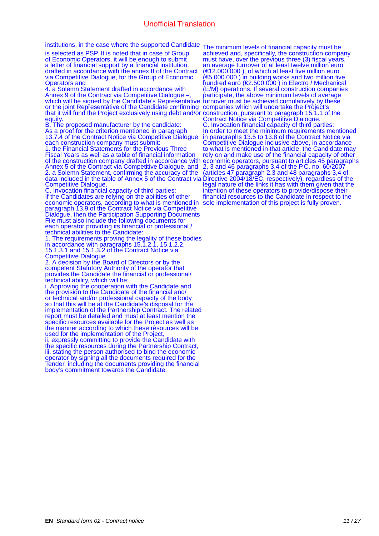is selected as PSP. It is noted that in case of Group of Economic Operators, it will be enough to submit a letter of financial support by a financial institution, drafted in accordance with the annex 8 of the Contract via Competitive Dialogue, for the Group of Economic Operators and

4. a Solemn Statement drafted in accordance with Annex 9 of the Contract via Competitive Dialogue –, which will be signed by the Candidate's Representative or the joint Representative of the Candidate confirming that it will fund the Project exclusively using debt and/or equity.

B. The proposed manufacturer by the candidate: As a proof for the criterion mentioned in paragraph 13.7.4 of the Contract Notice via Competitive Dialogue each construction company must submit:

1. the Financial Statements for the Previous Three Fiscal Years as well as a table of financial information of the construction company drafted in accordance with Annex 5 of the Contract via Competitive Dialogue, and 2. a Solemn Statement, confirming the accuracy of the data included in the table of Annex 5 of the Contract via Competitive Dialogue.

C. Invocation financial capacity of third parties: If the Candidates are relying on the abilities of other economic operators, according to what is mentioned in paragraph 13.9 of the Contract Notice via Competitive Dialogue, then the Participation Supporting Documents File must also include the following documents for each οperator providing its financial or professional / technical abilities to the Candidate:

1. The requirements proving the legality of these bodies in accordance with paragraphs 15.1.2.1, 15.1.2.2, 15.1.3.1 and 15.1.3.2 of the Contract Notice via Competitive Dialogue

2. A decision by the Board of Directors or by the competent Statutory Authority of the operator that provides the Candidate the financial or professional/ technical ability, which will be:

i. Approving the cooperation with the Candidate and the provision to the Candidate of the financial and/ or technical and/or professional capacity of the body so that this will be at the Candidate's disposal for the implementation of the Partnership Contract. The related report must be detailed and must at least mention the specific resources available for the Project as well as the manner according to which these resources will be used for the implementation of the Project,

ii. expressly committing to provide the Candidate with the specific resources during the Partnership Contract, iii. stating the person authorised to bind the economic operator by signing all the documents required for the Tender, including the documents providing the financial body's commitment towards the Candidate.

institutions, in the case where the supported Candidate The minimum levels of financial capacity must be achieved and, specifically, the construction company must have, over the previous three (3) fiscal years, an average turnover of at least twelve million euro (€12.000.000 ), of which at least five million euro (€5.000.000 ) in building works and two million five hundred euro (€2.500.000 ) in Electro / Mechanical (E/M) operations. If several construction companies participate, the above minimum levels of average turnover must be achieved cumulatively by these companies which will undertake the Project's construction, pursuant to paragraph 15.1.1 of the Contract Notice via Competitive Dialogue. C. Invocation financial capacity of third parties: In order to meet the minimum requirements mentioned in paragraphs 13.5 to 13.8 of the Contract Notice via Competitive Dialogue inclusive above, in accordance to what is mentioned in that article, the Candidate may rely on and make use of the financial capacity of other economic operators, pursuant to articles 45 paragraphs 2, 3 and 46 paragraphs 3,4 of the P.C. no. 60/2007 (articles 47 paragraph 2,3 and 48 paragraphs 3,4 of Directive 2004/18/EC, respectively), regardless of the legal nature of the links it has with them given that the intention of these operators to provide/dispose their financial resources to the Candidate in respect to the sole implementation of this project is fully proven.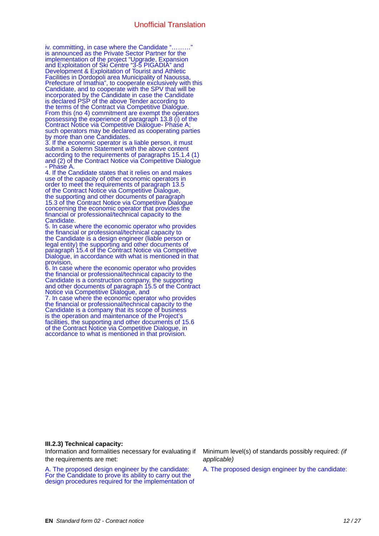iv. committing, in case where the Candidate "………" is announced as the Private Sector Partner for the implementation of the project "Upgrade, Expansion and Exploitation of Ski Centre "3-5 PIGADIA" and Development & Exploitation of Tourist and Athletic Facilities in Dordopoli area Municipality of Naoussa, Prefecture of Imathia", to cooperate exclusively with this Candidate, and to cooperate with the SPV that will be incorporated by the Candidate in case the Candidate is declared PSP of the above Tender according to the terms of the Contract via Competitive Dialogue. From this (no 4) commitment are exempt the operators possessing the experience of paragraph 13.8 (i) of the Contract Notice via Competitive Dialogue- Phase A; such operators may be declared as cooperating parties by more than one Candidates.

3. If the economic operator is a liable person, it must submit a Solemn Statement with the above content according to the requirements of paragraphs 15.1.4 (1) and (2) of the Contract Notice via Competitive Dialogue - Phase A.

4. If the Candidate states that it relies on and makes use of the capacity of other economic operators in order to meet the requirements of paragraph 13.5 of the Contract Notice via Competitive Dialogue, the supporting and other documents of paragraph 15.3 of the Contract Notice via Competitive Dialogue concerning the economic operator that provides the financial or professional/technical capacity to the Candidate.

5. In case where the economic operator who provides the financial or professional/technical capacity to the Candidate is a design engineer (liable person or legal entity) the supporting and other documents of paragraph 15.4 of the Contract Notice via Competitive Dialogue, in accordance with what is mentioned in that provision,

6. In case where the economic operator who provides the financial or professional/technical capacity to the Candidate is a construction company, the supporting and other documents of paragraph 15.5 of the Contract Notice via Competitive Dialogue, and

7. In case where the economic operator who provides the financial or professional/technical capacity to the Candidate is a company that its scope of business is the operation and maintenance of the Project's facilities, the supporting and other documents of 15.6 of the Contract Notice via Competitive Dialogue, in accordance to what is mentioned in that provision.

## **III.2.3) Technical capacity:**

Information and formalities necessary for evaluating if the requirements are met:

A. The proposed design engineer by the candidate: For the Candidate to prove its ability to carry out the design procedures required for the implementation of Minimum level(s) of standards possibly required: *(if applicable)*

A. The proposed design engineer by the candidate: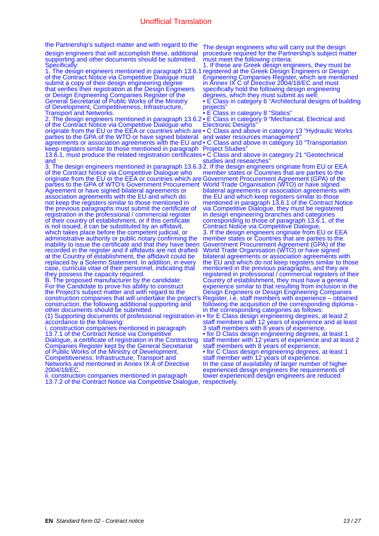the Partnership's subject matter and with regard to the

design engineers that will accomplish these, additional supporting and other documents should be submitted. Specifically:

1. The design engineers mentioned in paragraph 13.6.1 of the Contract Notice via Competitive Dialogue must submit a copy of their design engineering degree that verifies their registration at the Design Engineers or Design Engineering Companies Register of the General Secretariat of Public Works of the Ministry of Development, Competitiveness, Infrastructure, Transport and Networks.

2. The design engineers mentioned in paragraph 13.6.2 of the Contract Notice via Competitive Dialogue who originate from the EU or the EEA or countries which are parties to the GPA of the WTO or have signed bilateral agreements or association agreements with the EU and keep registers similar to those mentioned in paragraph 13.6.1, must produce the related registration certificates • C Class and above in category 21 "Geotechnical and

3. The design engineers mentioned in paragraph 13.6.3 2. If the design engineers originate from EU or EEA of the Contract Notice via Competitive Dialogue who originate from the EU or the EEA or countries which are parties to the GPA of WTO's Government Procurement Agreement or have signed bilateral agreements or association agreements with the EU and which do not keep the registers similar to those mentioned in the previous paragraphs must submit the certificate of registration in the professional / commercial register of their country of establishment, or if this certificate is not issued, it can be substituted by an affidavit, which takes place before the competent judicial, or administrative authority or public notary confirming the inability to issue the certificate and that they have been recorded in the register and if affidavits are not drafted at the Country of establishment, the affidavit could be replaced by a Solemn Statement. In addition, in every case, curricula vitae of their personnel, indicating that they possess the capacity required.

B. The proposed manufacturer by the candidate: For the Candidate to prove his ability to construct the Project's subject matter and with regard to the construction companies that will undertake the project's construction, the following additional supporting and other documents should be submitted.

(1) Supporting documents of professional registration in accordance to the following:

i. construction companies mentioned in paragraph 13.7.1 of the Contract Notice via Competitive Dialogue, a certificate of registration in the Contracting Companies Register kept by the General Secretariat of Public Works of the Ministry of Development, Competitiveness, Infrastructure, Transport and Networks and mentioned in Annex IX A of Directive 2004/18/EC.

ii. construction companies mentioned in paragraph 13.7.2 of the Contract Notice via Competitive Dialogue, respectively.

The design engineers who will carry out the design procedure required for the Partnership's subject matter must meet the following criteria:

1. If these are Greek design engineers, they must be registered at the Greek Design Engineers or Design Engineering Companies Register, which are mentioned in Annex IX C of Directive 2004/18/EC and must specifically hold the following design engineering degrees, which they must submit as well: • E Class in category 6 "Architectural designs of building projects"

• E Class in category 8 "Statics"

• E Class in category 9 "Mechanical, Electrical and Electronic Designs"

• C Class and above in category 13 "Hydraulic Works and water resources management"

• C Class and above in category 10 "Transportation Project Studies"

studies and researches

member states or Countries that are parties to the Government Procurement Agreement (GPA) of the World Trade Organisation (WTO) or have signed bilateral agreements or association agreements with the EU and which keep registers similar to those mentioned in paragraph 13.6.1 of the Contract Notice via Competitive Dialogue, they must be registered in design engineering branches and categories corresponding to those of paragraph 13.6.1. of the Contract Notice via Competitive Dialogue, 3. If the design engineers originate from EU or EEA member states or Countries that are parties to the Government Procurement Agreement (GPA) of the World Trade Organisation (WTO) or have signed bilateral agreements or association agreements with the EU and which do not keep registers similar to those mentioned in the previous paragraphs, and they are registered in professional / commercial registers of their Country of establishment, they must have a general experience similar to that resulting from inclusion in the Design Engineers or Design Engineering Companies Register, i.e. staff members with experience – obtained following the acquisition of the corresponding diploma in the corresponding categories as follows: • for E Class design engineering degrees, at least 2 staff members with 12 years of experience and at least 3 staff members with 8 years of experience, • for D Class design engineering degrees, at least 1 staff member with 12 years of experience and at least 2 staff members with 8 years of experience,

• for C Class design engineering degrees, at least 1 staff member with 12 years of experience. In the case of availability of larger number of higher experienced design engineers the requirements of lower experienced design engineers are reduced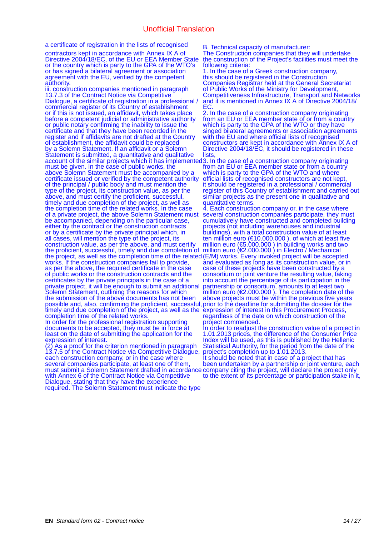a certificate of registration in the lists of recognised

contractors kept in accordance with Annex IX A of Directive 2004/18/EC, of the EU or EEA Member State or the country which is party to the GPA of the WTO's or has signed a bilateral agreement or association agreement with the EU, verified by the competent authority.

iii. construction companies mentioned in paragraph 13.7.3 of the Contract Notice via Competitive Dialogue, a certificate of registration in a professional / commercial register of its Country of establishment or if this is not issued, an affidavit, which takes place before a competent judicial or administrative authority or public notary confirming the inability to issue the certificate and that they have been recorded in the register and if affidavits are not drafted at the Country of establishment, the affidavit could be replaced by a Solemn Statement. If an affidavit or a Solemn Statement is submitted, a quantitative and qualitative account of the similar projects which it has implemented must be given. In the case of public works, the above Solemn Statement must be accompanied by a certificate issued or verified by the competent authority of the principal / public body and must mention the type of the project, its construction value, as per the above, and must certify the proficient, successful, timely and due completion of the project, as well as the completion time of the related works. In the case of a private project, the above Solemn Statement must be accompanied, depending on the particular case, either by the contract or the construction contracts or by a certificate by the private principal which, in all cases, will mention the type of the project, its construction value, as per the above, and must certify the proficient, successful, timely and due completion of the project, as well as the completion time of the related works. If the construction companies fail to provide, as per the above, the required certificate in the case of public works or the construction contracts and the certificates by the private principals in the case of a private project, it will be enough to submit an additional Solemn Statement, outlining the reasons for which the submission of the above documents has not been possible and, also, confirming the proficient, successful, timely and due completion of the project, as well as the completion time of the related works.

In order for the professional registration supporting documents to be accepted, they must be in force at least on the date of submitting the application for the expression of interest.

(2) As a proof for the criterion mentioned in paragraph 13.7.5 of the Contract Notice via Competitive Dialogue, each construction company, or in the case where several companies participate, at least one of them, must submit a Solemn Statement drafted in accordance with Annex 6 of the Contract Notice via Competitive Dialogue, stating that they have the experience required. The Solemn Statement must indicate the type

B. Technical capacity of manufacturer:

The Construction companies that they will undertake the construction of the Project's facilities must meet the following criteria:

1. In the case of a Greek construction company, this should be registered in the Construction Companies Registrar held at the General Secretariat of Public Works of the Ministry for Development, Competitiveness Infrastructure, Transport and Networks and it is mentioned in Annex IX A of Directive 2004/18/ EC.

2. In the case of a construction company originating from an EU or EEA member state of or from a country which is party to the GPA of the WTO or they have singed bilateral agreements or association agreements with the EU and where official lists of recognised constructors are kept in accordance with Annex IX A of Directive 2004/18/EC, it should be registered in these lists

3. In the case of a construction company originating from an EU or EEA member state or from a country which is party to the GPA of the WTO and where official lists of recognised constructors are not kept, it should be registered in a professional / commercial register of this Country of establishment and carried out similar projects as the present one in qualitative and quantitative terms.

4. Each construction company or, in the case where several construction companies participate, they must cumulatively have constructed and completed building projects (not including warehouses and industrial buildings), with a total construction value of at least ten million euro (€10.000.000 ), of which at least five million euro (€5.000.000 ) in building works and two million euro (€2.000.000 ) in Electro / Mechanical (E/M) works. Every invoked project will be accepted and evaluated as long as its construction value, or in case of these projects have been constructed by a consortium or joint venture the resulting value, taking into account the percentage of its participation in the partnership or consortium, amounts to at least two million euro (€2.000.000 ). The completion date of the above projects must be within the previous five years prior to the deadline for submitting the dossier for the expression of interest in this Procurement Process, regardless of the date on which construction of the project commenced.

In order to readjust the construction value of a project in 1.01.2013 prices, the difference of the Consumer Price Index will be used, as this is published by the Hellenic Statistical Authority, for the period from the date of the project's completion up to 1.01.2013.

It should be noted that in case of a project that has been undertaken by a partnership or joint venture, each company citing the project, will declare the project only to the extent of its percentage or participation stake in it,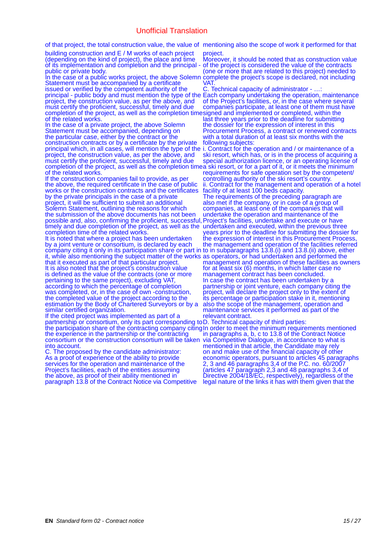of that project, the total construction value, the value of mentioning also the scope of work it performed for that

building construction and Ε / Μ works of each project (depending on the kind of project), the place and time of its implementation and completion and the principal public or private bod

In the case of a public works project, the above Solemn Statement must be accompanied by a certificate issued or verified by the competent authority of the principal - public body and must mention the type of the

project, the construction value, as per the above, and must certify the proficient, successful, timely and due completion of the project, as well as the completion time of the related works.

In the case of a private project, the above Solemn Statement must be accompanied, depending on the particular case, either by the contract or the construction contracts or by a certificate by the private principal which, in all cases, will mention the type of the project, the construction value, as per the above, and must certify the proficient, successful, timely and due completion of the project, as well as the completion time of the related works.

If the construction companies fail to provide, as per the above, the required certificate in the case of public works or the construction contracts and the certificates by the private principals in the case of a private project, it will be sufficient to submit an additional Solemn Statement, outlining the reasons for which the submission of the above documents has not been possible and, also, confirming the proficient, successful, timely and due completion of the project, as well as the completion time of the related works.

It is noted that where a project has been undertaken by a joint venture or consortium, is declared by each company citing it only in its participation share or part in it, while also mentioning the subject matter of the works that it executed as part of that particular project. It is also noted that the project's construction value is defined as the value of the contracts (one or more pertaining to the same project), excluding VAT, according to which the percentage of completion was completed, or, in the case of own -construction, the completed value of the project according to the estimation by the Body of Chartered Surveyors or by a similar certified organization.

If the cited project was implemented as part of a partnership or consortium, only its part corresponding to the participation share of the contracting company citing the experience in the partnership or the contracting consortium or the construction consortium will be taken into account.

C. The proposed by the candidate administrator: As a proof of experience of the ability to provide services for the operation and maintenance of the Project's facilities, each of the entities assuming the above, as proof of their ability mentioned in paragraph 13.8 of the Contract Notice via Competitive

project.<br>Moreover, it should be noted that as construction value Moreover, it should be noted that as construction value of the project is considered the value of the contracts (one or more that are related to this project) needed to complete the project's scope is declared, not including VAT.

C. Technical capacity of administrator - …:

Each company undertaking the operation, maintenance of the Project's facilities, or, in the case where several companies participate, at least one of them must have signed and implemented or completed, within the last three years prior to the deadline for submitting the dossier for the expression of interest in this Procurement Process, a contract or renewed contracts with a total duration of at least six months with the following subjects:

i. Contract for the operation and / or maintenance of a ski resort, which has, or is in the process of acquiring a special authorization licence, or an operating license of a ski resort, or for a part of it, or it meets the minimum requirements for safe operation set by the competent/ controlling authority of the ski resort's country. ii. Contract for the management and operation of a hotel facility of at least 100 beds capacity. The requirements of the preceding paragraph are also met if the company, or in case of a group of companies, at least one of the companies that will undertake the operation and maintenance of the Project's facilities, undertake and execute or have undertaken and executed, within the previous three years prior to the deadline for submitting the dossier for the expression of interest in this Procurement Process, the management and operation of the facilities referred to in subparagraphs 13.8.(i) and 13.8.(ii) above, either as operators, or had undertaken and performed the management and operation of these facilities as owners for at least six (6) months, in which latter case no management contract has been concluded. In case the contract has been undertaken by a partnership or joint venture, each company citing the project, will declare the project only to the extent of its percentage or participation stake in it, mentioning also the scope of the management, operation and maintenance services it performed as part of the relevant contract.

D. Technical capacity of third parties: In order to meet the minimum requirements mentioned in paragraphs a, b, c to 13.8 of the Contract Notice via Competitive Dialogue, in accordance to what is mentioned in that article, the Candidate may rely on and make use of the financial capacity of other economic operators, pursuant to articles 45 paragraphs 2, 3 and 46 paragraphs 3,4 of the P.C. no. 60/2007 (articles 47 paragraph 2,3 and 48 paragraphs 3,4 of Directive 2004/18/EC, respectively), regardless of the legal nature of the links it has with them given that the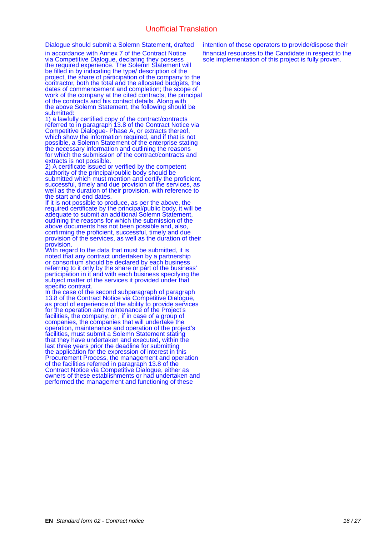Dialogue should submit a Solemn Statement, drafted

in accordance with Annex 7 of the Contract Notice via Competitive Dialogue, declaring they possess the required experience. The Solemn Statement will be filled in by indicating the type/ description of the project, the share of participation of the company to the contractor, both the total and the allocated budgets, the dates of commencement and completion; the scope of work of the company at the cited contracts, the principal of the contracts and his contact details. Along with the above Solemn Statement, the following should be submitted:

1) a lawfully certified copy of the contract/contracts referred to in paragraph 13.8 of the Contract Notice via Competitive Dialogue- Phase A, or extracts thereof, which show the information required, and if that is not possible, a Solemn Statement of the enterprise stating the necessary information and outlining the reasons for which the submission of the contract/contracts and extracts is not possible.

2) A certificate issued or verified by the competent authority of the principal/public body should be submitted which must mention and certify the proficient, successful, timely and due provision of the services, as well as the duration of their provision, with reference to the start and end dates.

If it is not possible to produce, as per the above, the required certificate by the principal/public body, it will be adequate to submit an additional Solemn Statement, outlining the reasons for which the submission of the above documents has not been possible and, also, confirming the proficient, successful, timely and due provision of the services, as well as the duration of their provision.

With regard to the data that must be submitted, it is noted that any contract undertaken by a partnership or consortium should be declared by each business referring to it only by the share or part of the business' participation in it and with each business specifying the subject matter of the services it provided under that specific contract.

In the case of the second subparagraph of paragraph 13.8 of the Contract Notice via Competitive Dialogue, as proof of experience of the ability to provide services for the operation and maintenance of the Project's facilities, the company, or , if in case of a group of companies, the companies that will undertake the operation, maintenance and operation of the project's facilities, must submit a Solemn Statement stating that they have undertaken and executed, within the last three years prior the deadline for submitting the application for the expression of interest in this Procurement Process, the management and operation of the facilities referred in paragraph 13.8 of the Contract Notice via Competitive Dialogue, either as owners of these establishments or had undertaken and performed the management and functioning of these

intention of these operators to provide/dispose their financial resources to the Candidate in respect to the sole implementation of this project is fully proven.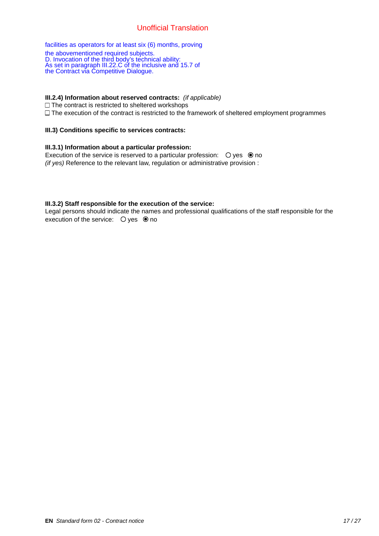facilities as operators for at least six (6) months, proving

the abovementioned required subjects. D. Invocation of the third body's technical ability: As set in paragraph III.22.C of the inclusive and 15.7 of the Contract via Competitive Dialogue.

## **III.2.4) Information about reserved contracts:** *(if applicable)*

 $\Box$  The contract is restricted to sheltered workshops  $\Box$  The execution of the contract is restricted to the framework of sheltered employment programmes

## **III.3) Conditions specific to services contracts:**

## **III.3.1) Information about a particular profession:**

Execution of the service is reserved to a particular profession:  $\bigcirc$  yes  $\bigcirc$  no *(if yes)* Reference to the relevant law, regulation or administrative provision :

## **III.3.2) Staff responsible for the execution of the service:**

Legal persons should indicate the names and professional qualifications of the staff responsible for the execution of the service:  $\bigcirc$  yes  $\circledcirc$  no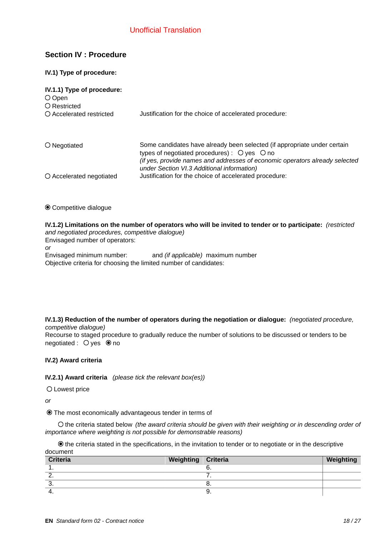# **Section IV : Procedure**

## **IV.1) Type of procedure:**

| IV.1.1) Type of procedure:<br>$O$ Open<br>O Restricted |                                                                                                                                                                                                                                                                         |
|--------------------------------------------------------|-------------------------------------------------------------------------------------------------------------------------------------------------------------------------------------------------------------------------------------------------------------------------|
| O Accelerated restricted                               | Justification for the choice of accelerated procedure:                                                                                                                                                                                                                  |
| $\bigcirc$ Negotiated                                  | Some candidates have already been selected (if appropriate under certain<br>types of negotiated procedures) : $\bigcirc$ yes $\bigcirc$ no<br>(if yes, provide names and addresses of economic operators already selected<br>under Section VI.3 Additional information) |
| O Accelerated negotiated                               | Justification for the choice of accelerated procedure:                                                                                                                                                                                                                  |

 $\odot$  Competitive dialogue

**IV.1.2) Limitations on the number of operators who will be invited to tender or to participate:** *(restricted and negotiated procedures, competitive dialogue)*

Envisaged number of operators: *or* Envisaged minimum number: \_\_\_\_\_ and *(if applicable)* maximum number \_\_\_\_\_ Objective criteria for choosing the limited number of candidates:

**IV.1.3) Reduction of the number of operators during the negotiation or dialogue:** *(negotiated procedure, competitive dialogue)*

Recourse to staged procedure to gradually reduce the number of solutions to be discussed or tenders to be  $n$ egotiated :  $Q$  ves  $\odot$  no

# **IV.2) Award criteria**

**IV.2.1) Award criteria** *(please tick the relevant box(es))*

Lowest price

*or*

The most economically advantageous tender in terms of

 the criteria stated below *(the award criteria should be given with their weighting or in descending order of importance where weighting is not possible for demonstrable reasons)*

 $\odot$  the criteria stated in the specifications, in the invitation to tender or to negotiate or in the descriptive document

| Criteria | Weighting   Criteria |     | Weighting |
|----------|----------------------|-----|-----------|
| <b>.</b> |                      | ხ.  |           |
| <u>.</u> |                      | . . |           |
| ၪ.       |                      | о.  |           |
| 4.       |                      | Θ.  |           |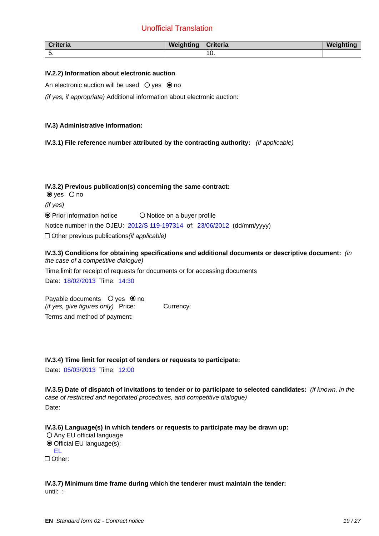| <b>Criteria</b> | Weighting | Criteria | <b>Weightin</b> |
|-----------------|-----------|----------|-----------------|
| . ب             |           | c<br>TÛ. |                 |

## **IV.2.2) Information about electronic auction**

An electronic auction will be used  $\bigcirc$  yes  $\bigcirc$  no

*(if yes, if appropriate)* Additional information about electronic auction:

## **IV.3) Administrative information:**

**IV.3.1) File reference number attributed by the contracting authority:** *(if applicable)*

**IV.3.2) Previous publication(s) concerning the same contract:**   $\bullet$  yes  $\circ$  no *(if yes)*  $\odot$  Prior information notice  $\qquad$   $\odot$  Notice on a buyer profile Notice number in the OJEU: 2012/S 119-197314 of: 23/06/2012 (dd/mm/yyyy) Other previous publications*(if applicable)*

**IV.3.3) Conditions for obtaining specifications and additional documents or descriptive document:** *(in the case of a competitive dialogue)* Time limit for receipt of requests for documents or for accessing documents Date: 18/02/2013 Time: 14:30

Payable documents  $\circ$  ves  $\circledcirc$  no *(if yes, give figures only)* Price: Currency: Terms and method of payment:

#### **IV.3.4) Time limit for receipt of tenders or requests to participate:**

Date: 05/03/2013 Time: 12:00

**IV.3.5) Date of dispatch of invitations to tender or to participate to selected candidates:** *(if known, in the case of restricted and negotiated procedures, and competitive dialogue)*

Date:

**IV.3.6) Language(s) in which tenders or requests to participate may be drawn up:**

O Any EU official language Official EU language(s): EL □ Other:

**IV.3.7) Minimum time frame during which the tenderer must maintain the tender:** until: :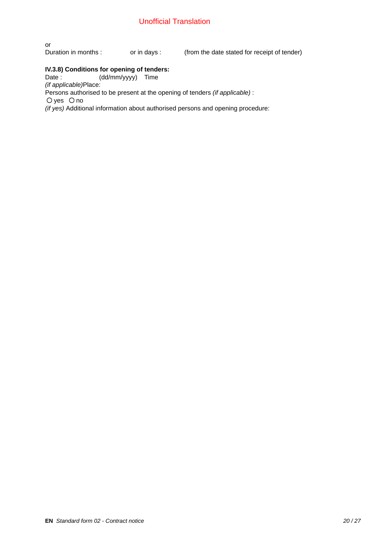or<br>Duration in months : or in days :  $\qquad$  (from the date stated for receipt of tender)

# **IV.3.8) Conditions for opening of tenders:**<br>Date : (dd/mm/yyyy) Time

 $(dd/\text{mm/yyy})$  Time *(if applicable)*Place: Persons authorised to be present at the opening of tenders *(if applicable)* :  $O$  yes  $O$  no *(if yes)* Additional information about authorised persons and opening procedure: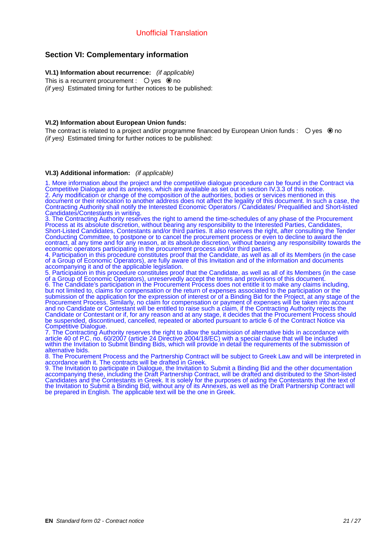# **Section VI: Complementary information**

# **VI.1) Information about recurrence:** *(if applicable)*

This is a recurrent procurement :  $\bigcirc$  yes  $\bigcirc$  no *(if yes)* Estimated timing for further notices to be published:

## **VI.2) Information about European Union funds:**

The contract is related to a project and/or programme financed by European Union funds :  $\bigcirc$  yes  $\bigcirc$  no *(if yes)* Estimated timing for further notices to be published:

#### **VI.3) Additional information:** *(if applicable)*

1. More information about the project and the competitive dialogue procedure can be found in the Contract via Competitive Dialogue and its annexes, which are available as set out in section IV.3.3 of this notice. 2. Any modification or change of the composition of the authorities, bodies or services mentioned in this document or their relocation to another address does not affect the legality of this document. In such a case, the Contracting Authority shall notify the Interested Economic Operators / Candidates/ Prequalified and Short-listed Candidates/Contestants in writing.

3. The Contracting Authority reserves the right to amend the time-schedules of any phase of the Procurement Process at its absolute discretion, without bearing any responsibility to the Interested Parties, Candidates, Short-Listed Candidates, Contestants and/or third parties. It also reserves the right, after consulting the Tender Conducting Committee, to postpone or to cancel the procurement process or even to decline to award the contract, at any time and for any reason, at its absolute discretion, without bearing any responsibility towards the economic operators participating in the procurement process and/or third parties.

4. Participation in this procedure constitutes proof that the Candidate, as well as all of its Members (in the case of a Group of Economic Operators), are fully aware of this Invitation and of the information and documents accompanying it and of the applicable legislation.

5. Participation in this procedure constitutes proof that the Candidate, as well as all of its Members (in the case of a Group of Economic Operators), unreservedly accept the terms and provisions of this document. 6. The Candidate's participation in the Procurement Process does not entitle it to make any claims including, but not limited to, claims for compensation or the return of expenses associated to the participation or the submission of the application for the expression of interest or of a Binding Bid for the Project, at any stage of the Procurement Process. Similarly, no claim for compensation or payment of expenses will be taken into account and no Candidate or Contestant will be entitled to raise such a claim, if the Contracting Authority rejects the Candidate or Contestant or if, for any reason and at any stage, it decides that the Procurement Process should be suspended, discontinued, cancelled, repeated or aborted pursuant to article 6 of the Contract Notice via Competitive Dialogue.

7. The Contracting Authority reserves the right to allow the submission of alternative bids in accordance with article 40 of P.C. no. 60/2007 (article 24 Directive 2004/18/EC) with a special clause that will be included within the Invitation to Submit Binding Bids, which will provide in detail the requirements of the submission of alternative bids.

8. The Procurement Process and the Partnership Contract will be subject to Greek Law and will be interpreted in accordance with it. The contracts will be drafted in Greek.

9. The Invitation to participate in Dialogue, the Invitation to Submit a Binding Bid and the other documentation accompanying these, including the Draft Partnership Contract, will be drafted and distributed to the Short-listed Candidates and the Contestants in Greek. It is solely for the purposes of aiding the Contestants that the text of the Invitation to Submit a Binding Bid, without any of its Annexes, as well as the Draft Partnership Contract will be prepared in English. The applicable text will be the one in Greek.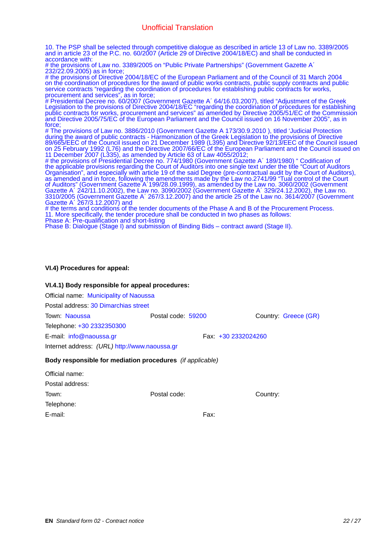10. The PSP shall be selected through competitive dialogue as described in article 13 of Law no. 3389/2005 and in article 23 of the P.C. no. 60/2007 (Article 29 of Directive 2004/18/EC) and shall be conducted in accordance with:

# the provisions of Law no. 3389/2005 on "Public Private Partnerships" (Government Gazette A' 232/22.09.2005) as in force;

 the provisions of Directive 2004/18/EC of the European Parliament and of the Council of 31 March 2004 on the coordination of procedures for the award of public works contracts, public supply contracts and public service contracts "regarding the coordination of procedures for establishing public contracts for works, procurement and services", as in force;

 Presidential Decree no. 60/2007 (Government Gazette A΄ 64/16.03.2007), titled "Adjustment of the Greek Legislation to the provisions of Directive 2004/18/EC "regarding the coordination of procedures for establishing public contracts for works, procurement and services" as amended by Directive 2005/51/EC of the Commission and Directive 2005/75/EC of the European Parliament and the Council issued on 16 November 2005", as in force;

 The provisions of Law no. 3886/2010 (Government Gazette A 173/30.9.2010 ), titled 'Judicial Protection during the award of public contracts - Harmonization of the Greek Legislation to the provisions of Directive 89/665/EEC of the Council issued on 21 December 1989 (L395) and Directive 92/13/EEC of the Council issued on 25 February 1992 (L76) and the Directive 2007/66/EC of the European Parliament and the Council issued on 11 December 2007 (L335), as amended by Article 63 of Law 4055/2012;

 the provisions of Presidential Decree no. 774/1980 (Government Gazette A΄ 189/1980) " Codification of the applicable provisions regarding the Court of Auditors into one single text under the title "Court of Auditors Organisation", and especially with article 19 of the said Degree (pre-contractual audit by the Court of Auditors), as amended and in force, following the amendments made by the Law no.2741/99 "Tual control of the Court of Auditors" (Government Gazette A΄199/28.09.1999), as amended by the Law no. 3060/2002 (Government Gazette A΄ 242/11.10.2002), the Law no. 3090/2002 (Government Gazette A΄ 329/24.12.2002), the Law no. 3310/2005 (Government Gazette A΄ 267/3.12.2007) and the article 25 of the Law no. 3614/2007 (Government Gazette A΄ 267/3.12.2007) and

 $\#$  the terms and conditions of the tender documents of the Phase A and B of the Procurement Process. 11. More specifically, the tender procedure shall be conducted in two phases as follows: Phase A: Pre-qualification and short-listing

Phase B: Dialogue (Stage I) and submission of Binding Bids – contract award (Stage II).

## **VI.4) Procedures for appeal:**

| VI.4.1) Body responsible for appeal procedures: |  |
|-------------------------------------------------|--|
| Official name: Municipality of Naoussa          |  |

Postal address: 30 Dimarchias street

Town: Naoussa Postal code: 59200 Country: Greece (GR) Telephone: +30 2332350300 E-mail: info@naoussa.gr Fax: +30 2332024260 Internet address: *(URL)* http://www.naoussa.gr

## **Body responsible for mediation procedures** *(if applicable)*

| Official name:  |              |      |          |
|-----------------|--------------|------|----------|
| Postal address: |              |      |          |
| Town:           | Postal code: |      | Country: |
| Telephone:      |              |      |          |
| E-mail:         |              | Fax: |          |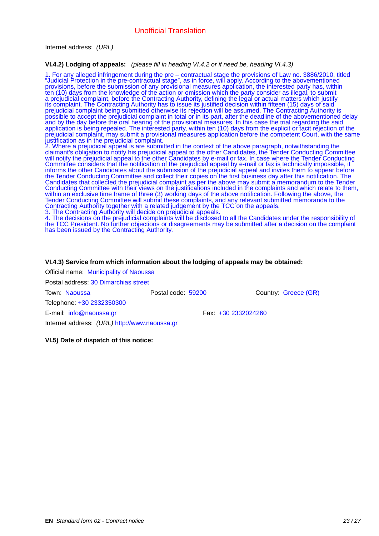Internet address: *(URL)* \_\_\_\_\_

#### **VI.4.2) Lodging of appeals:** *(please fill in heading VI.4.2 or if need be, heading VI.4.3)*

1. For any alleged infringement during the pre – contractual stage the provisions of Law no. 3886/2010, titled "Judicial Protection in the pre-contractual stage", as in force, will apply. According to the abovementioned provisions, before the submission of any provisional measures application, the interested party has, within ten (10) days from the knowledge of the action or omission which the party consider as illegal, to submit a prejudicial complaint, before the Contracting Authority, defining the legal or actual matters which justify its complaint. The Contracting Authority has to issue its justified decision within fifteen (15) days of said prejudicial complaint being submitted otherwise its rejection will be assumed. The Contracting Authority is possible to accept the prejudicial complaint in total or in its part, after the deadline of the abovementioned delay and by the day before the oral hearing of the provisional measures. In this case the trial regarding the said application is being repealed. The interested party, within ten (10) days from the explicit or tacit rejection of the prejudicial complaint, may submit a provisional measures application before the competent Court, with the same justification as in the prejudicial complaint.

2. Where a prejudicial appeal is are submitted in the context of the above paragraph, notwithstanding the claimant's obligation to notify his prejudicial appeal to the other Candidates, the Tender Conducting Committee will notify the prejudicial appeal to the other Candidates by e-mail or fax. In case where the Tender Conducting Committee considers that the notification of the prejudicial appeal by e-mail or fax is technically impossible, it informs the other Candidates about the submission of the prejudicial appeal and invites them to appear before the Tender Conducting Committee and collect their copies on the first business day after this notification. The Candidates that collected the prejudicial complaint as per the above may submit a memorandum to the Tender Conducting Committee with their views on the justifications included in the complaints and which relate to them, within an exclusive time frame of three (3) working days of the above notification. Following the above, the Tender Conducting Committee will submit these complaints, and any relevant submitted memoranda to the Contracting Authority together with a related judgement by the TCC on the appeals.

3. The Contracting Authority will decide on prejudicial appeals.

4. The decisions on the prejudicial complaints will be disclosed to all the Candidates under the responsibility of the TCC President. No further objections or disagreements may be submitted after a decision on the complaint has been issued by the Contracting Authority.

#### **VI.4.3) Service from which information about the lodging of appeals may be obtained:**

Official name: Municipality of Naoussa Postal address: 30 Dimarchias street Town: Naoussa Postal code: 59200 Country: Greece (GR) Telephone: +30 2332350300 E-mail: info@naoussa.gr Fax: +30 2332024260 Internet address: *(URL)* http://www.naoussa.gr

**VI.5) Date of dispatch of this notice:**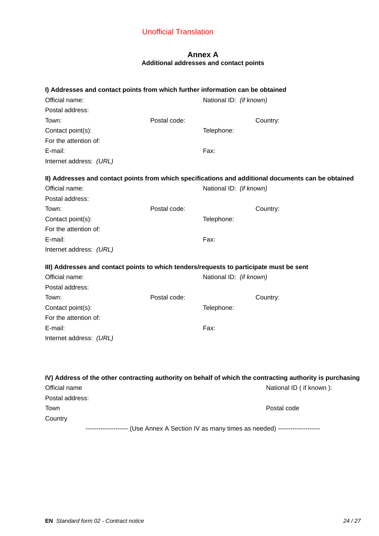# **Annex A Additional addresses and contact points**

| I) Addresses and contact points from which further information can be obtained<br>Official name:<br>Postal address: |              | National ID: (if known) |                                                                                                           |
|---------------------------------------------------------------------------------------------------------------------|--------------|-------------------------|-----------------------------------------------------------------------------------------------------------|
| Town:                                                                                                               | Postal code: |                         | Country:                                                                                                  |
| Contact point(s):                                                                                                   |              | Telephone:              |                                                                                                           |
| For the attention of:                                                                                               |              |                         |                                                                                                           |
| E-mail:                                                                                                             |              | Fax:                    |                                                                                                           |
| Internet address: (URL)                                                                                             |              |                         |                                                                                                           |
|                                                                                                                     |              |                         | II) Addresses and contact points from which specifications and additional documents can be obtained       |
| Official name:                                                                                                      |              | National ID: (if known) |                                                                                                           |
| Postal address:                                                                                                     |              |                         |                                                                                                           |
| Town:                                                                                                               | Postal code: |                         | Country:                                                                                                  |
| Contact point(s):                                                                                                   |              | Telephone:              |                                                                                                           |
| For the attention of:                                                                                               |              |                         |                                                                                                           |
| E-mail:                                                                                                             |              | Fax:                    |                                                                                                           |
| Internet address: (URL)                                                                                             |              |                         |                                                                                                           |
| III) Addresses and contact points to which tenders/requests to participate must be sent                             |              |                         |                                                                                                           |
| Official name:                                                                                                      |              | National ID: (if known) |                                                                                                           |
| Postal address:                                                                                                     |              |                         |                                                                                                           |
| Town:                                                                                                               | Postal code: |                         | Country:                                                                                                  |
| Contact point(s):                                                                                                   |              | Telephone:              |                                                                                                           |
| For the attention of:                                                                                               |              |                         |                                                                                                           |
| E-mail:                                                                                                             |              | Fax:                    |                                                                                                           |
| Internet address: (URL)                                                                                             |              |                         |                                                                                                           |
|                                                                                                                     |              |                         |                                                                                                           |
|                                                                                                                     |              |                         | IV) Address of the other contracting authority on behalf of which the contracting authority is purchasing |
| Official name                                                                                                       |              |                         | National ID ( if known ):                                                                                 |
| Postal address:                                                                                                     |              |                         |                                                                                                           |
| Town                                                                                                                |              |                         | Postal code                                                                                               |
| Country                                                                                                             |              |                         |                                                                                                           |
|                                                                                                                     |              |                         | -------------------- (Use Annex A Section IV as many times as needed) -------------------                 |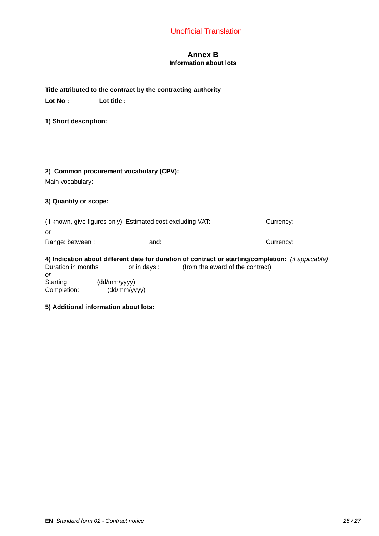# **Annex B Information about lots**

# **Title attributed to the contract by the contracting authority** \_\_\_\_\_

Lot No :  $Lot$  Lot title :

**1) Short description:**

## **2) Common procurement vocabulary (CPV):**

Main vocabulary:

## **3) Quantity or scope:**

|                  | (if known, give figures only) Estimated cost excluding VAT: | Currency: |
|------------------|-------------------------------------------------------------|-----------|
| 0r               |                                                             |           |
| Range: between : | and:                                                        | Currency: |

#### **4) Indication about different date for duration of contract or starting/completion:** *(if applicable)* Duration in months : \_\_\_\_\_\_ or in days : \_\_\_\_\_ (from the award of the contract) *or*

Starting: (dd/mm/yyyy)<br>Completion: (dd/mm/yy (dd/mm/yyyy)

#### **5) Additional information about lots:**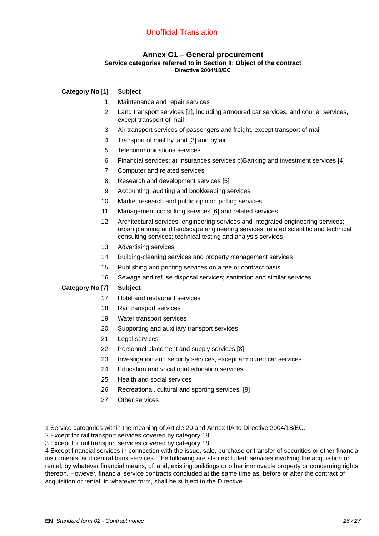# **Annex C1 – General procurement**

## **Service categories referred to in Section II: Object of the contract Directive 2004/18/EC**

# **Category No** [1] **Subject**

- 1 Maintenance and repair services
- 2 Land transport services [2], including armoured car services, and courier services, except transport of mail
- 3 Air transport services of passengers and freight, except transport of mail
- 4 Transport of mail by land [3] and by air
- 5 Telecommunications services
- 6 Financial services: a) Insurances services b)Banking and investment services [4]
- 7 Computer and related services
- 8 Research and development services [5]
- 9 Accounting, auditing and bookkeeping services
- 10 Market research and public opinion polling services
- 11 Management consulting services [6] and related services
- 12 Architectural services; engineering services and integrated engineering services; urban planning and landscape engineering services; related scientific and technical consulting services; technical testing and analysis services
- 13 Advertising services
- 14 Building-cleaning services and property management services
- 15 Publishing and printing services on a fee or contract basis
- 16 Sewage and refuse disposal services; sanitation and similar services

## **Category No** [7] **Subject**

- 17 Hotel and restaurant services
- 18 Rail transport services
- 19 Water transport services
- 20 Supporting and auxiliary transport services
- 21 Legal services
- 22 Personnel placement and supply services [8]
- 23 Investigation and security services, except armoured car services
- 24 Education and vocational education services
- 25 Health and social services
- 26 Recreational, cultural and sporting services [9]
- 27 Other services

1 Service categories within the meaning of Article 20 and Annex IIA to Directive 2004/18/EC.

2 Except for rail transport services covered by category 18.

3 Except for rail transport services covered by category 18.

4 Except financial services in connection with the issue, sale, purchase or transfer of securities or other financial instruments, and central bank services. The following are also excluded: services involving the acquisition or rental, by whatever financial means, of land, existing buildings or other immovable property or concerning rights thereon. However, financial service contracts concluded at the same time as, before or after the contract of acquisition or rental, in whatever form, shall be subject to the Directive.